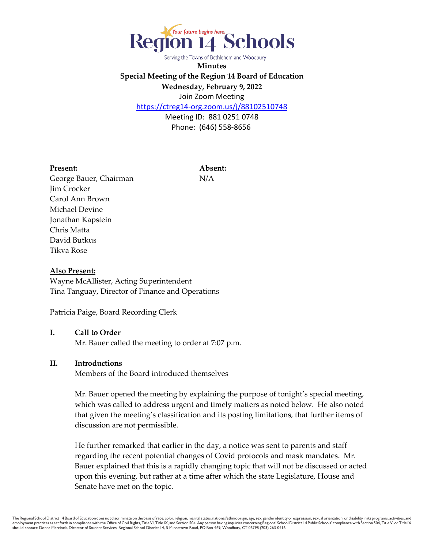

Serving the Towns of Bethlehem and Woodbury

**Minutes Special Meeting of the Region 14 Board of Education Wednesday, February 9, 2022**  Join Zoom Meeting

<https://ctreg14-org.zoom.us/j/88102510748>

Meeting ID: 881 0251 0748 Phone: (646) 558-8656

#### **Present: Absent:**

George Bauer, Chairman N/A Jim Crocker Carol Ann Brown Michael Devine Jonathan Kapstein Chris Matta David Butkus Tikva Rose

#### **Also Present:**

Wayne McAllister, Acting Superintendent Tina Tanguay, Director of Finance and Operations

Patricia Paige, Board Recording Clerk

# **I. Call to Order**

Mr. Bauer called the meeting to order at 7:07 p.m.

#### **II. Introductions**

Members of the Board introduced themselves

Mr. Bauer opened the meeting by explaining the purpose of tonight's special meeting, which was called to address urgent and timely matters as noted below. He also noted that given the meeting's classification and its posting limitations, that further items of discussion are not permissible.

He further remarked that earlier in the day, a notice was sent to parents and staff regarding the recent potential changes of Covid protocols and mask mandates. Mr. Bauer explained that this is a rapidly changing topic that will not be discussed or acted upon this evening, but rather at a time after which the state Legislature, House and Senate have met on the topic.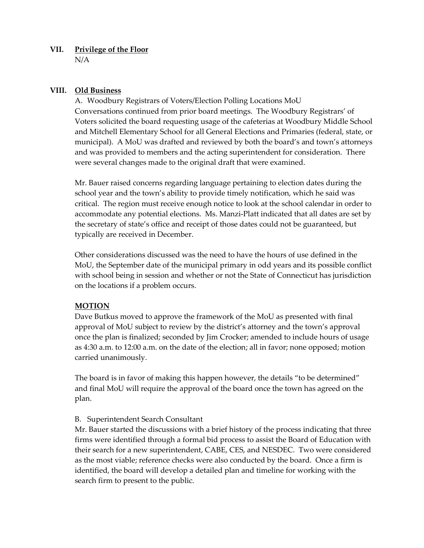### **VII. Privilege of the Floor** N/A

### **VIII. Old Business**

A. Woodbury Registrars of Voters/Election Polling Locations MoU Conversations continued from prior board meetings. The Woodbury Registrars' of Voters solicited the board requesting usage of the cafeterias at Woodbury Middle School and Mitchell Elementary School for all General Elections and Primaries (federal, state, or municipal). A MoU was drafted and reviewed by both the board's and town's attorneys and was provided to members and the acting superintendent for consideration. There were several changes made to the original draft that were examined.

Mr. Bauer raised concerns regarding language pertaining to election dates during the school year and the town's ability to provide timely notification, which he said was critical. The region must receive enough notice to look at the school calendar in order to accommodate any potential elections. Ms. Manzi-Platt indicated that all dates are set by the secretary of state's office and receipt of those dates could not be guaranteed, but typically are received in December.

Other considerations discussed was the need to have the hours of use defined in the MoU, the September date of the municipal primary in odd years and its possible conflict with school being in session and whether or not the State of Connecticut has jurisdiction on the locations if a problem occurs.

# **MOTION**

Dave Butkus moved to approve the framework of the MoU as presented with final approval of MoU subject to review by the district's attorney and the town's approval once the plan is finalized; seconded by Jim Crocker; amended to include hours of usage as 4:30 a.m. to 12:00 a.m. on the date of the election; all in favor; none opposed; motion carried unanimously.

The board is in favor of making this happen however, the details "to be determined" and final MoU will require the approval of the board once the town has agreed on the plan.

# B. Superintendent Search Consultant

Mr. Bauer started the discussions with a brief history of the process indicating that three firms were identified through a formal bid process to assist the Board of Education with their search for a new superintendent, CABE, CES, and NESDEC. Two were considered as the most viable; reference checks were also conducted by the board. Once a firm is identified, the board will develop a detailed plan and timeline for working with the search firm to present to the public.